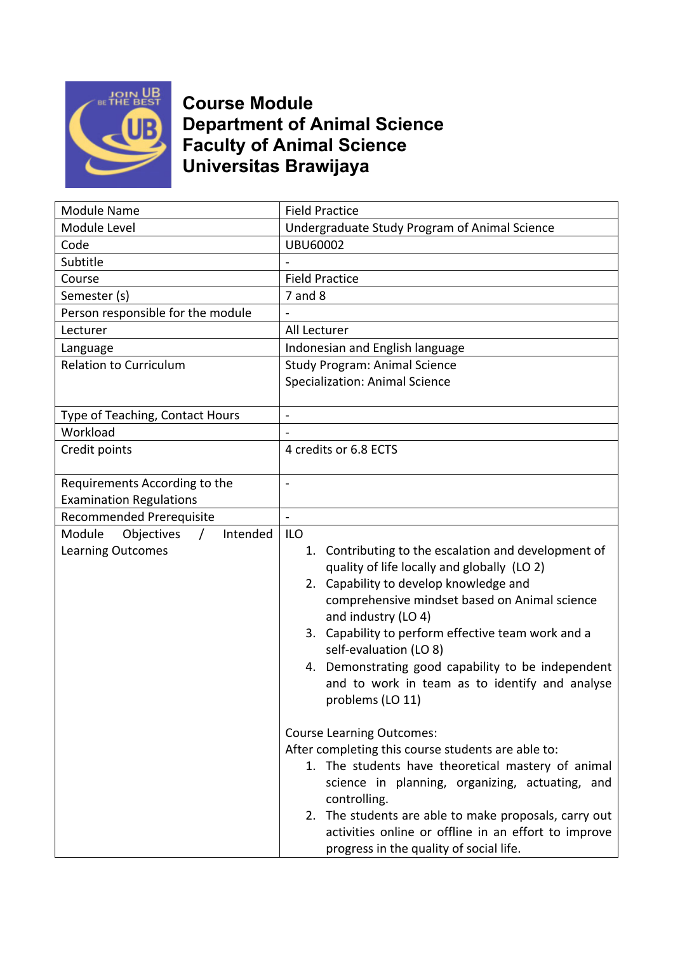

## **Course Module Department of Animal Science Faculty of Animal Science Universitas Brawijaya**

| Module Name                                                              | <b>Field Practice</b>                                                                                                                                                                                                                                                                                                                                                                                                                             |
|--------------------------------------------------------------------------|---------------------------------------------------------------------------------------------------------------------------------------------------------------------------------------------------------------------------------------------------------------------------------------------------------------------------------------------------------------------------------------------------------------------------------------------------|
| Module Level                                                             | Undergraduate Study Program of Animal Science                                                                                                                                                                                                                                                                                                                                                                                                     |
| Code                                                                     | <b>UBU60002</b>                                                                                                                                                                                                                                                                                                                                                                                                                                   |
| Subtitle                                                                 |                                                                                                                                                                                                                                                                                                                                                                                                                                                   |
| Course                                                                   | <b>Field Practice</b>                                                                                                                                                                                                                                                                                                                                                                                                                             |
| Semester (s)                                                             | $7$ and $8$                                                                                                                                                                                                                                                                                                                                                                                                                                       |
| Person responsible for the module                                        |                                                                                                                                                                                                                                                                                                                                                                                                                                                   |
| Lecturer                                                                 | All Lecturer                                                                                                                                                                                                                                                                                                                                                                                                                                      |
| Language                                                                 | Indonesian and English language                                                                                                                                                                                                                                                                                                                                                                                                                   |
| <b>Relation to Curriculum</b>                                            | <b>Study Program: Animal Science</b>                                                                                                                                                                                                                                                                                                                                                                                                              |
|                                                                          | <b>Specialization: Animal Science</b>                                                                                                                                                                                                                                                                                                                                                                                                             |
|                                                                          |                                                                                                                                                                                                                                                                                                                                                                                                                                                   |
| Type of Teaching, Contact Hours                                          | $\overline{\phantom{a}}$                                                                                                                                                                                                                                                                                                                                                                                                                          |
| Workload                                                                 |                                                                                                                                                                                                                                                                                                                                                                                                                                                   |
| Credit points                                                            | 4 credits or 6.8 ECTS                                                                                                                                                                                                                                                                                                                                                                                                                             |
| Requirements According to the<br><b>Examination Regulations</b>          |                                                                                                                                                                                                                                                                                                                                                                                                                                                   |
| Recommended Prerequisite                                                 | $\overline{\phantom{0}}$                                                                                                                                                                                                                                                                                                                                                                                                                          |
| Intended<br>Module<br>Objectives<br>$\prime$<br><b>Learning Outcomes</b> | <b>ILO</b><br>1. Contributing to the escalation and development of<br>quality of life locally and globally (LO 2)<br>2. Capability to develop knowledge and<br>comprehensive mindset based on Animal science<br>and industry (LO 4)<br>3. Capability to perform effective team work and a<br>self-evaluation (LO 8)<br>4. Demonstrating good capability to be independent                                                                         |
|                                                                          | and to work in team as to identify and analyse<br>problems (LO 11)<br><b>Course Learning Outcomes:</b><br>After completing this course students are able to:<br>1. The students have theoretical mastery of animal<br>science in planning, organizing, actuating, and<br>controlling.<br>2. The students are able to make proposals, carry out<br>activities online or offline in an effort to improve<br>progress in the quality of social life. |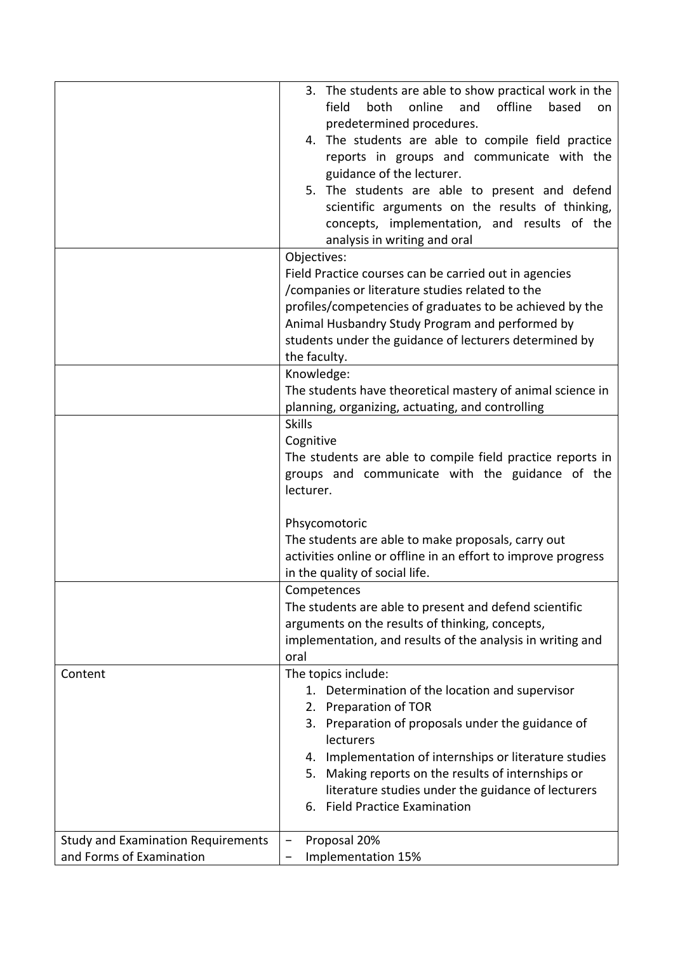|                                                                       | 3. The students are able to show practical work in the<br>offline<br>online<br>field<br>both<br>and<br>based<br>on<br>predetermined procedures.<br>4. The students are able to compile field practice<br>reports in groups and communicate with the<br>guidance of the lecturer.<br>5. The students are able to present and defend<br>scientific arguments on the results of thinking,<br>concepts, implementation, and results of the<br>analysis in writing and oral |
|-----------------------------------------------------------------------|------------------------------------------------------------------------------------------------------------------------------------------------------------------------------------------------------------------------------------------------------------------------------------------------------------------------------------------------------------------------------------------------------------------------------------------------------------------------|
|                                                                       | Objectives:<br>Field Practice courses can be carried out in agencies<br>/companies or literature studies related to the<br>profiles/competencies of graduates to be achieved by the<br>Animal Husbandry Study Program and performed by<br>students under the guidance of lecturers determined by<br>the faculty.                                                                                                                                                       |
|                                                                       | Knowledge:<br>The students have theoretical mastery of animal science in<br>planning, organizing, actuating, and controlling                                                                                                                                                                                                                                                                                                                                           |
|                                                                       | <b>Skills</b><br>Cognitive<br>The students are able to compile field practice reports in<br>groups and communicate with the guidance of the<br>lecturer.                                                                                                                                                                                                                                                                                                               |
|                                                                       | Phsycomotoric<br>The students are able to make proposals, carry out<br>activities online or offline in an effort to improve progress<br>in the quality of social life.                                                                                                                                                                                                                                                                                                 |
|                                                                       | Competences<br>The students are able to present and defend scientific<br>arguments on the results of thinking, concepts,<br>implementation, and results of the analysis in writing and<br>oral                                                                                                                                                                                                                                                                         |
| Content                                                               | The topics include:<br>1. Determination of the location and supervisor<br>Preparation of TOR<br>2.<br>3. Preparation of proposals under the guidance of<br>lecturers<br>4. Implementation of internships or literature studies<br>5. Making reports on the results of internships or<br>literature studies under the guidance of lecturers<br>6. Field Practice Examination                                                                                            |
| <b>Study and Examination Requirements</b><br>and Forms of Examination | Proposal 20%<br>Implementation 15%                                                                                                                                                                                                                                                                                                                                                                                                                                     |